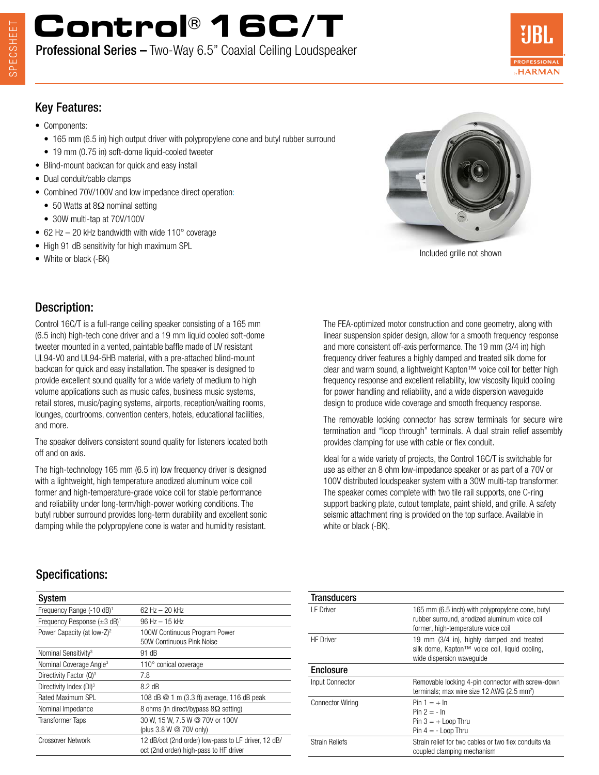# **Control® 16C/T**

Professional Series – Two-Way 6.5" Coaxial Ceiling Loudspeaker



### Key Features:

- Components:
	- 165 mm (6.5 in) high output driver with polypropylene cone and butyl rubber surround
- 19 mm (0.75 in) soft-dome liquid-cooled tweeter
- Blind-mount backcan for quick and easy install
- Dual conduit/cable clamps
- Combined 70V/100V and low impedance direct operation:
	- 50 Watts at 8Ω nominal setting
	- 30W multi-tap at 70V/100V
- 62 Hz 20 kHz bandwidth with wide 110° coverage
- High 91 dB sensitivity for high maximum SPL
- 



• White or black (-BK) is high maximum of  $\epsilon$ 

## Description:

Control 16C/T is a full-range ceiling speaker consisting of a 165 mm (6.5 inch) high-tech cone driver and a 19 mm liquid cooled soft-dome tweeter mounted in a vented, paintable baffle made of UV resistant UL94-V0 and UL94-5HB material, with a pre-attached blind-mount backcan for quick and easy installation. The speaker is designed to provide excellent sound quality for a wide variety of medium to high volume applications such as music cafes, business music systems, retail stores, music/paging systems, airports, reception/waiting rooms, lounges, courtrooms, convention centers, hotels, educational facilities, and more.

The speaker delivers consistent sound quality for listeners located both off and on axis.

The high-technology 165 mm (6.5 in) low frequency driver is designed with a lightweight, high temperature anodized aluminum voice coil former and high-temperature-grade voice coil for stable performance and reliability under long-term/high-power working conditions. The butyl rubber surround provides long-term durability and excellent sonic damping while the polypropylene cone is water and humidity resistant.

The FEA-optimized motor construction and cone geometry, along with linear suspension spider design, allow for a smooth frequency response and more consistent off-axis performance. The 19 mm (3/4 in) high frequency driver features a highly damped and treated silk dome for clear and warm sound, a lightweight Kapton™ voice coil for better high frequency response and excellent reliability, low viscosity liquid cooling for power handling and reliability, and a wide dispersion waveguide design to produce wide coverage and smooth frequency response.

The removable locking connector has screw terminals for secure wire termination and "loop through" terminals. A dual strain relief assembly provides clamping for use with cable or flex conduit.

Ideal for a wide variety of projects, the Control 16C/T is switchable for use as either an 8 ohm low-impedance speaker or as part of a 70V or 100V distributed loudspeaker system with a 30W multi-tap transformer. The speaker comes complete with two tile rail supports, one C-ring support backing plate, cutout template, paint shield, and grille. A safety seismic attachment ring is provided on the top surface. Available in white or black (-BK).

## Specifications:

| System                                    |                                                                                               |
|-------------------------------------------|-----------------------------------------------------------------------------------------------|
| Frequency Range (-10 dB) <sup>1</sup>     | 62 Hz $-$ 20 kHz                                                                              |
| Frequency Response $(\pm 3 \text{ dB})^1$ | $96$ Hz $-$ 15 kHz                                                                            |
| Power Capacity (at low-Z) <sup>2</sup>    | 100W Continuous Program Power<br>50W Continuous Pink Noise                                    |
| Nominal Sensitivity <sup>3</sup>          | 91 dB                                                                                         |
| Nominal Coverage Angle <sup>3</sup>       | 110° conical coverage                                                                         |
| Directivity Factor $(Q)^3$                | 7.8                                                                                           |
| Directivity Index (DI) <sup>3</sup>       | $8.2 \text{ dB}$                                                                              |
| Rated Maximum SPL                         | 108 dB @ 1 m (3.3 ft) average, 116 dB peak                                                    |
| Nominal Impedance                         | 8 ohms (in direct/bypass $8\Omega$ setting)                                                   |
| <b>Transformer Taps</b>                   | 30 W, 15 W, 7.5 W @ 70V or 100V<br>(plus 3.8 W @ 70V only)                                    |
| Crossover Network                         | 12 dB/oct (2nd order) low-pass to LF driver, 12 dB/<br>oct (2nd order) high-pass to HF driver |

| 165 mm (6.5 inch) with polypropylene cone, butyl<br>rubber surround, anodized aluminum voice coil<br>former, high-temperature voice coil |
|------------------------------------------------------------------------------------------------------------------------------------------|
| 19 mm (3/4 in), highly damped and treated<br>silk dome, Kapton™ voice coil, liquid cooling,<br>wide dispersion wavequide                 |
|                                                                                                                                          |
| Removable locking 4-pin connector with screw-down<br>terminals; max wire size 12 AWG (2.5 mm <sup>2</sup> )                              |
| $Pin 1 = + In$<br>$Pin 2 = - In$<br>$Pin 3 = +$ Loop Thru<br>$Pin 4 = -$ Loop Thru                                                       |
| Strain relief for two cables or two flex conduits via<br>coupled clamping mechanism                                                      |
|                                                                                                                                          |